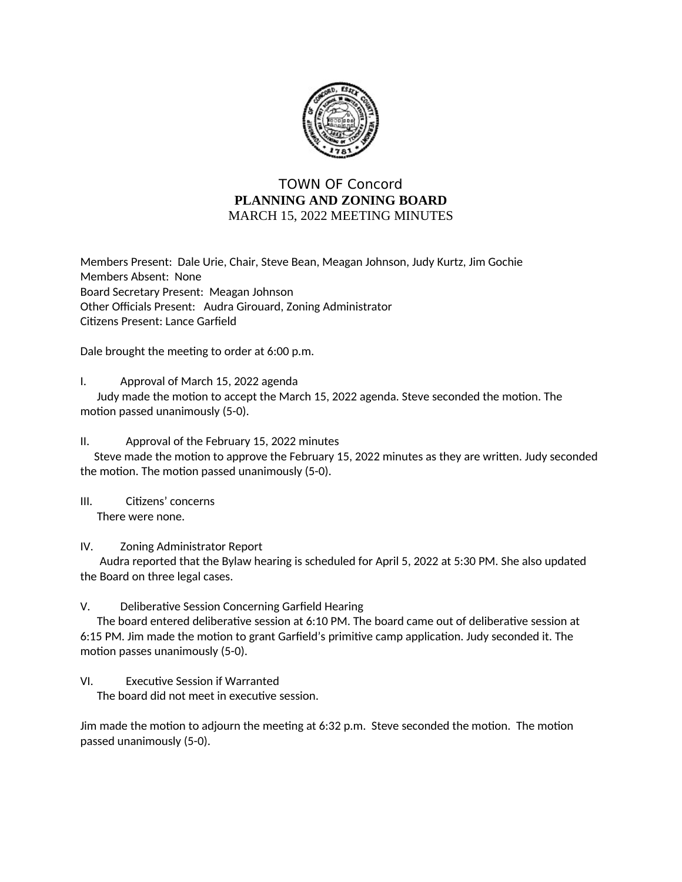

## **TOWN OF Concord** PLANNING AND ZONING BOARD MARCH 15, 2022 MEETING MINUTES

Members Present: Dale Urie, Chair, Steve Bean, Meagan Johnson, Judy Kurtz, Jim Gochie Members Absent: None Board Secretary Present: Meagan Johnson Other Officials Present: Audra Girouard, Zoning Administrator Citizens Present: Lance Garfield

Dale brought the meeting to order at 6:00 p.m.

Ι. Approval of March 15, 2022 agenda

Judy made the motion to accept the March 15, 2022 agenda. Steve seconded the motion. The motion passed unanimously (5-0).

 $II.$ Approval of the February 15, 2022 minutes

Steve made the motion to approve the February 15, 2022 minutes as they are written. Judy seconded the motion. The motion passed unanimously (5-0).

 $III.$ Citizens' concerns There were none.

IV. **Zoning Administrator Report** 

Audra reported that the Bylaw hearing is scheduled for April 5, 2022 at 5:30 PM. She also updated the Board on three legal cases.

V. Deliberative Session Concerning Garfield Hearing

The board entered deliberative session at 6:10 PM. The board came out of deliberative session at 6:15 PM. Jim made the motion to grant Garfield's primitive camp application. Judy seconded it. The motion passes unanimously (5-0).

## VI. **Executive Session if Warranted**

The board did not meet in executive session.

Jim made the motion to adjourn the meeting at 6:32 p.m. Steve seconded the motion. The motion passed unanimously (5-0).